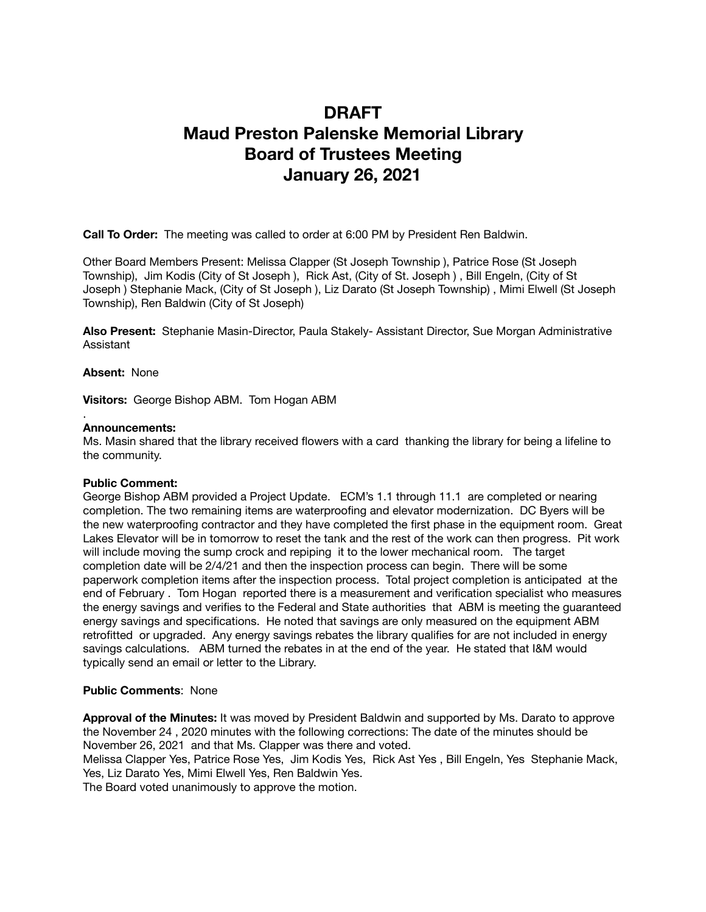# **DRAFT Maud Preston Palenske Memorial Library Board of Trustees Meeting January 26, 2021**

**Call To Order:** The meeting was called to order at 6:00 PM by President Ren Baldwin.

Other Board Members Present: Melissa Clapper (St Joseph Township ), Patrice Rose (St Joseph Township), Jim Kodis (City of St Joseph ), Rick Ast, (City of St. Joseph ) , Bill Engeln, (City of St Joseph ) Stephanie Mack, (City of St Joseph ), Liz Darato (St Joseph Township) , Mimi Elwell (St Joseph Township), Ren Baldwin (City of St Joseph)

**Also Present:** Stephanie Masin-Director, Paula Stakely- Assistant Director, Sue Morgan Administrative Assistant

**Absent:** None

.

**Visitors:** George Bishop ABM. Tom Hogan ABM

#### **Announcements:**

Ms. Masin shared that the library received flowers with a card thanking the library for being a lifeline to the community.

### **Public Comment:**

George Bishop ABM provided a Project Update. ECM's 1.1 through 11.1 are completed or nearing completion. The two remaining items are waterproofing and elevator modernization. DC Byers will be the new waterproofing contractor and they have completed the first phase in the equipment room. Great Lakes Elevator will be in tomorrow to reset the tank and the rest of the work can then progress. Pit work will include moving the sump crock and repiping it to the lower mechanical room. The target completion date will be 2/4/21 and then the inspection process can begin. There will be some paperwork completion items after the inspection process. Total project completion is anticipated at the end of February . Tom Hogan reported there is a measurement and verification specialist who measures the energy savings and verifies to the Federal and State authorities that ABM is meeting the guaranteed energy savings and specifications. He noted that savings are only measured on the equipment ABM retrofitted or upgraded. Any energy savings rebates the library qualifies for are not included in energy savings calculations. ABM turned the rebates in at the end of the year. He stated that I&M would typically send an email or letter to the Library.

### **Public Comments**: None

**Approval of the Minutes:** It was moved by President Baldwin and supported by Ms. Darato to approve the November 24 , 2020 minutes with the following corrections: The date of the minutes should be November 26, 2021 and that Ms. Clapper was there and voted.

Melissa Clapper Yes, Patrice Rose Yes, Jim Kodis Yes, Rick Ast Yes , Bill Engeln, Yes Stephanie Mack, Yes, Liz Darato Yes, Mimi Elwell Yes, Ren Baldwin Yes.

The Board voted unanimously to approve the motion.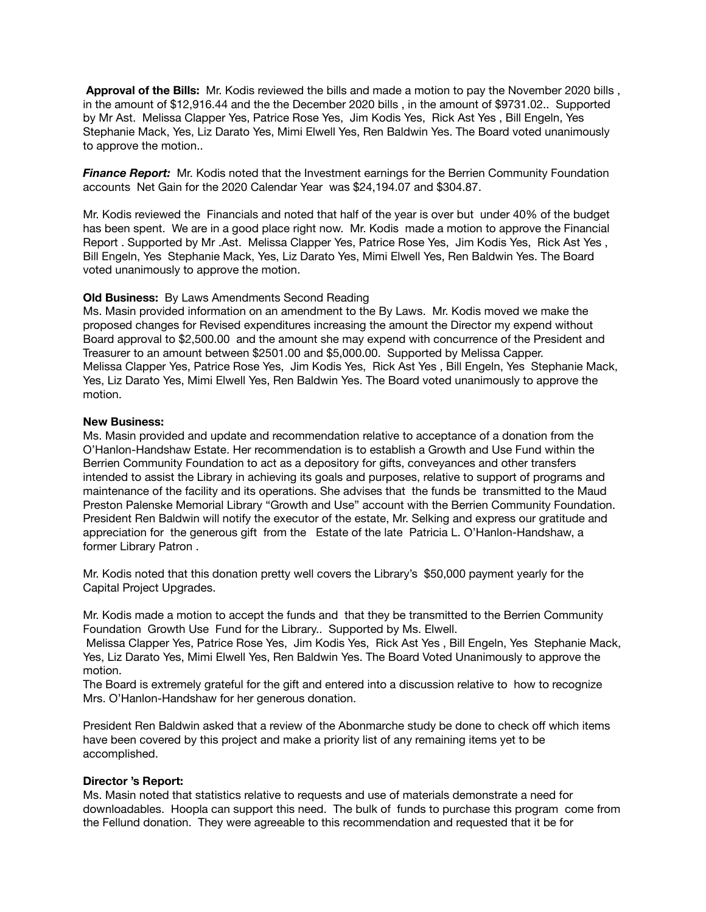**Approval of the Bills:** Mr. Kodis reviewed the bills and made a motion to pay the November 2020 bills , in the amount of \$12,916.44 and the the December 2020 bills , in the amount of \$9731.02.. Supported by Mr Ast. Melissa Clapper Yes, Patrice Rose Yes, Jim Kodis Yes, Rick Ast Yes , Bill Engeln, Yes Stephanie Mack, Yes, Liz Darato Yes, Mimi Elwell Yes, Ren Baldwin Yes. The Board voted unanimously to approve the motion..

**Finance Report:** Mr. Kodis noted that the Investment earnings for the Berrien Community Foundation accounts Net Gain for the 2020 Calendar Year was \$24,194.07 and \$304.87.

Mr. Kodis reviewed the Financials and noted that half of the year is over but under 40% of the budget has been spent. We are in a good place right now. Mr. Kodis made a motion to approve the Financial Report . Supported by Mr .Ast. Melissa Clapper Yes, Patrice Rose Yes, Jim Kodis Yes, Rick Ast Yes , Bill Engeln, Yes Stephanie Mack, Yes, Liz Darato Yes, Mimi Elwell Yes, Ren Baldwin Yes. The Board voted unanimously to approve the motion.

### **Old Business:** By Laws Amendments Second Reading

Ms. Masin provided information on an amendment to the By Laws. Mr. Kodis moved we make the proposed changes for Revised expenditures increasing the amount the Director my expend without Board approval to \$2,500.00 and the amount she may expend with concurrence of the President and Treasurer to an amount between \$2501.00 and \$5,000.00. Supported by Melissa Capper. Melissa Clapper Yes, Patrice Rose Yes, Jim Kodis Yes, Rick Ast Yes , Bill Engeln, Yes Stephanie Mack, Yes, Liz Darato Yes, Mimi Elwell Yes, Ren Baldwin Yes. The Board voted unanimously to approve the motion.

### **New Business:**

Ms. Masin provided and update and recommendation relative to acceptance of a donation from the O'Hanlon-Handshaw Estate. Her recommendation is to establish a Growth and Use Fund within the Berrien Community Foundation to act as a depository for gifts, conveyances and other transfers intended to assist the Library in achieving its goals and purposes, relative to support of programs and maintenance of the facility and its operations. She advises that the funds be transmitted to the Maud Preston Palenske Memorial Library "Growth and Use" account with the Berrien Community Foundation. President Ren Baldwin will notify the executor of the estate, Mr. Selking and express our gratitude and appreciation for the generous gift from the Estate of the late Patricia L. O'Hanlon-Handshaw, a former Library Patron .

Mr. Kodis noted that this donation pretty well covers the Library's \$50,000 payment yearly for the Capital Project Upgrades.

Mr. Kodis made a motion to accept the funds and that they be transmitted to the Berrien Community Foundation Growth Use Fund for the Library.. Supported by Ms. Elwell.

 Melissa Clapper Yes, Patrice Rose Yes, Jim Kodis Yes, Rick Ast Yes , Bill Engeln, Yes Stephanie Mack, Yes, Liz Darato Yes, Mimi Elwell Yes, Ren Baldwin Yes. The Board Voted Unanimously to approve the motion.

The Board is extremely grateful for the gift and entered into a discussion relative to how to recognize Mrs. O'Hanlon-Handshaw for her generous donation.

President Ren Baldwin asked that a review of the Abonmarche study be done to check off which items have been covered by this project and make a priority list of any remaining items yet to be accomplished.

### **Director 's Report:**

Ms. Masin noted that statistics relative to requests and use of materials demonstrate a need for downloadables. Hoopla can support this need. The bulk of funds to purchase this program come from the Fellund donation. They were agreeable to this recommendation and requested that it be for